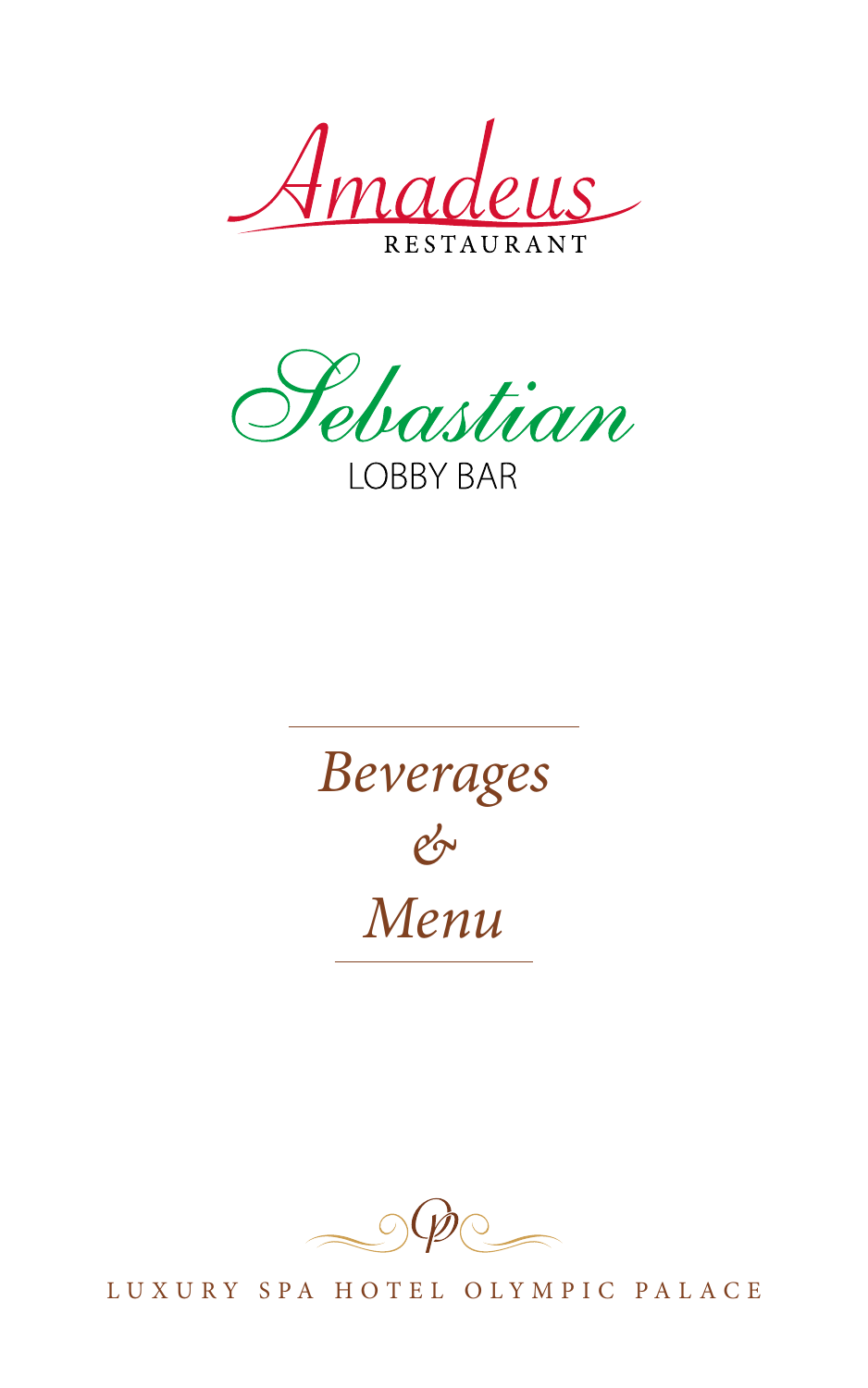*Amadeus* 

**RESTA** 

Sebastian **LOBBY BAR** 





LUXURY SPA HOTEL OLYMPIC PALACE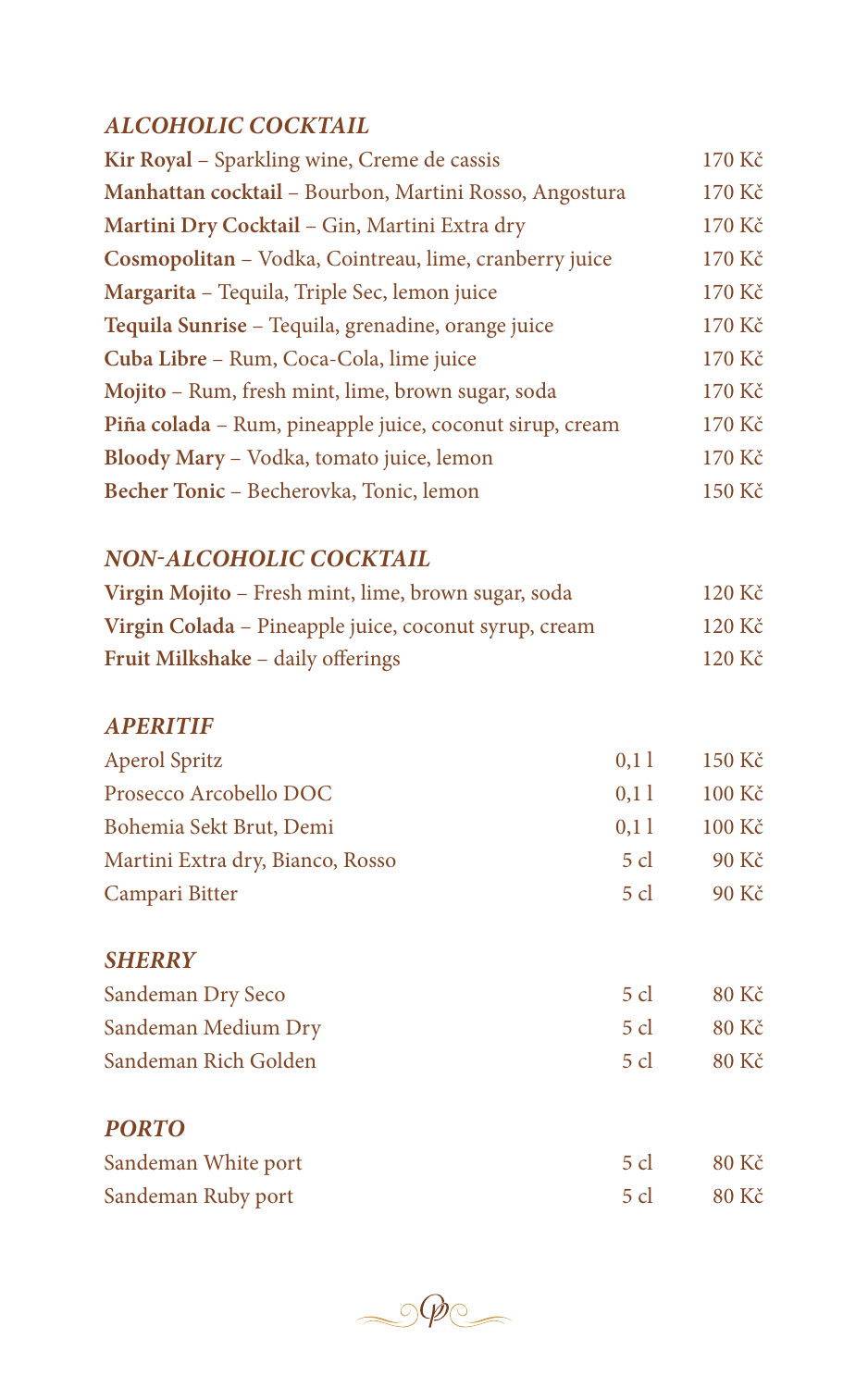### *ALCOHOLIC COCKTAIL*

| Kir Royal - Sparkling wine, Creme de cassis              | 170 Kč |
|----------------------------------------------------------|--------|
| Manhattan cocktail - Bourbon, Martini Rosso, Angostura   | 170 Kč |
| Martini Dry Cocktail - Gin, Martini Extra dry            | 170 Kč |
| Cosmopolitan - Vodka, Cointreau, lime, cranberry juice   | 170 Kč |
| Margarita - Tequila, Triple Sec, lemon juice             | 170 Kč |
| Tequila Sunrise - Tequila, grenadine, orange juice       | 170 Kč |
| Cuba Libre - Rum, Coca-Cola, lime juice                  | 170 Kč |
| Mojito - Rum, fresh mint, lime, brown sugar, soda        | 170 Kč |
| Piña colada - Rum, pineapple juice, coconut sirup, cream | 170 Kč |
| Bloody Mary - Vodka, tomato juice, lemon                 | 170 Kč |
| Becher Tonic - Becherovka, Tonic, lemon                  | 150 Kč |
|                                                          |        |

## *NON-ALCOHOLIC COCKTAIL*

| Virgin Mojito – Fresh mint, lime, brown sugar, soda   | $120 \text{ K\check{c}}$ |
|-------------------------------------------------------|--------------------------|
| Virgin Colada – Pineapple juice, coconut syrup, cream | $120 \text{ K\check{c}}$ |
| Fruit Milkshake - daily offerings                     | $120 \text{ K\check{c}}$ |

#### *APERITIF*

| <b>Aperol Spritz</b>             | 0,11           | 150 Kč      |
|----------------------------------|----------------|-------------|
| Prosecco Arcobello DOC           | 0,11           | 100 Kč      |
| Bohemia Sekt Brut, Demi          | 0,11           | $100K\zeta$ |
| Martini Extra dry, Bianco, Rosso | 5 cl           | 90 Kč       |
| Campari Bitter                   | $5 \text{ cl}$ | 90 Kč       |
| <b>SHERRY</b>                    |                |             |
| Sandeman Dry Seco                | $5$ cl         | 80 Kč       |

| Sandeman Medium Dry  | $5 \text{ cl}$ | - 80 Kč    |
|----------------------|----------------|------------|
| Sandeman Rich Golden |                | 5 cl 80 Kč |
|                      |                |            |
|                      |                |            |

# *PORTO* Sandeman White port 5 cl 80 Kč Sandeman Ruby port 5 cl 30 Kč

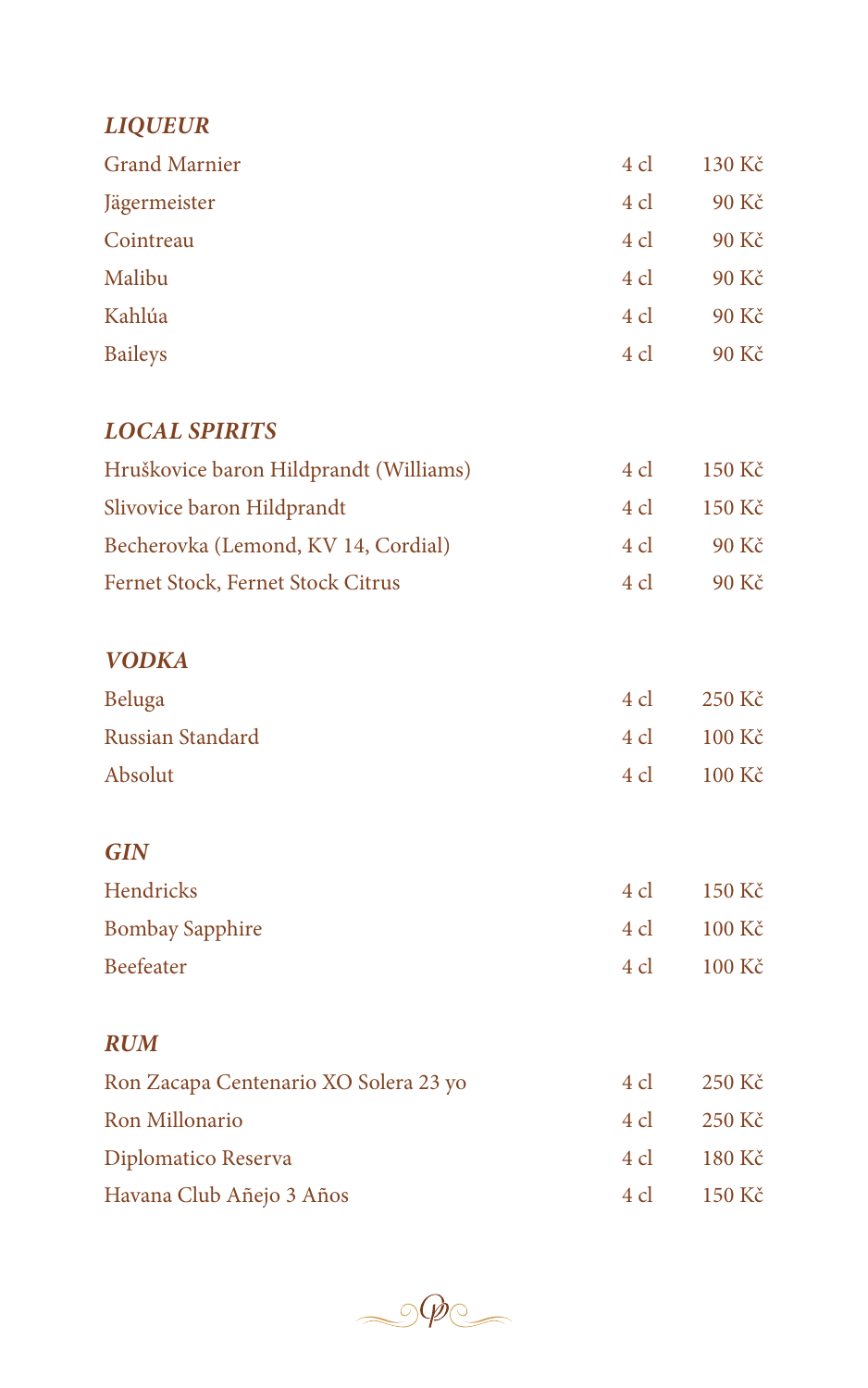### *LIQUEUR*

| <b>Grand Marnier</b> | 4 cl | $130 K\check{c}$ |
|----------------------|------|------------------|
| Jägermeister         | 4 cl | 90 Kč            |
| Cointreau            | 4 cl | 90 Kč            |
| Malibu               | 4 cl | 90 Kč            |
| Kahlúa               | 4 cl | 90 Kč            |
| <b>Baileys</b>       | 4 cl | 90 Kč            |

### *LOCAL SPIRITS*

| Hruškovice baron Hildprandt (Williams) | $4 \,$ cl | 150 Kč   |
|----------------------------------------|-----------|----------|
| Slivovice baron Hildprandt             | 4 cl      | - 150 Kč |
| Becherovka (Lemond, KV 14, Cordial)    | $4 \,$ cl | 90 Kč    |
| Fernet Stock, Fernet Stock Citrus      | $4 \,$ cl | 90 Kč    |

### *VODKA*

| Beluga           | $4 \text{ cl}$ | 250 Kč                   |
|------------------|----------------|--------------------------|
| Russian Standard | 4 cl           | $100 \text{ K\check{c}}$ |
| Absolut          | 4 cl           | $100 \text{ K\check{c}}$ |

### *GIN*

| Hendricks              | 4 cl | - 150 Kč                 |
|------------------------|------|--------------------------|
| <b>Bombay Sapphire</b> | 4 cl | $100 \text{ K\check{c}}$ |
| Beefeater              | 4 cl | $100 \text{ K\check{c}}$ |

#### *RUM*

| Ron Zacapa Centenario XO Solera 23 yo | 4 cl        | 250 Kč |
|---------------------------------------|-------------|--------|
| Ron Millonario                        | 4 cl 250 Kč |        |
| Diplomatico Reserva                   | 4 cl 180 Kč |        |
| Havana Club Añejo 3 Años              | 4 cl 150 Kč |        |

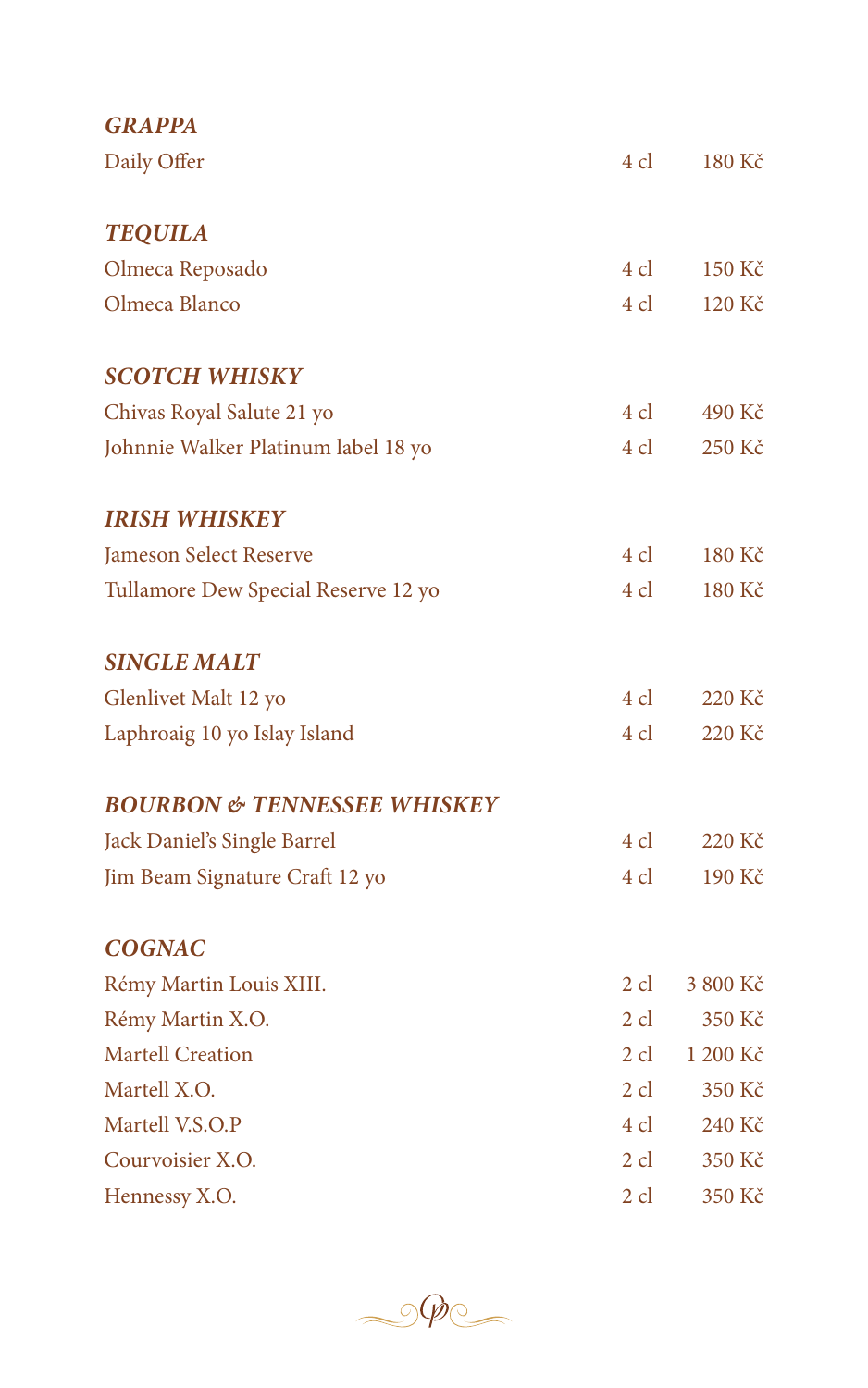| <b>GRAPPA</b>                          |           |          |
|----------------------------------------|-----------|----------|
| Daily Offer                            | 4 cl      | 180 Kč   |
| <b>TEQUILA</b>                         |           |          |
| Olmeca Reposado                        | 4 cl      | 150 Kč   |
| Olmeca Blanco                          | 4 cl      | 120 Kč   |
| <b>SCOTCH WHISKY</b>                   |           |          |
| Chivas Royal Salute 21 yo              | 4 cl      | 490 Kč   |
| Johnnie Walker Platinum label 18 yo    | 4 cl      | 250 Kč   |
| <b>IRISH WHISKEY</b>                   |           |          |
| Jameson Select Reserve                 | 4 cl      | 180 Kč   |
| Tullamore Dew Special Reserve 12 yo    | 4 cl      | 180 Kč   |
| <b>SINGLE MALT</b>                     |           |          |
| Glenlivet Malt 12 yo                   | 4 cl      | 220 Kč   |
| Laphroaig 10 yo Islay Island           | 4 cl      | 220 Kč   |
| <b>BOURBON &amp; TENNESSEE WHISKEY</b> |           |          |
| Jack Daniel's Single Barrel            | 4 cl      | 220 Kč   |
| Jim Beam Signature Craft 12 yo         | 4 cl      | 190 Kč   |
| <b>COGNAC</b>                          |           |          |
| Rémy Martin Louis XIII.                | $2 \,$ cl | 3 800 Kč |
| Rémy Martin X.O.                       | $2$ cl    | 350 Kč   |
| <b>Martell Creation</b>                | $2$ cl    | 1 200 Kč |
| Martell X.O.                           | $2$ cl    | 350 Kč   |
| Martell V.S.O.P                        | 4 cl      | 240 Kč   |
| Courvoisier X.O.                       | $2$ cl    | 350 Kč   |
| Hennessy X.O.                          | $2$ cl    | 350 Kč   |

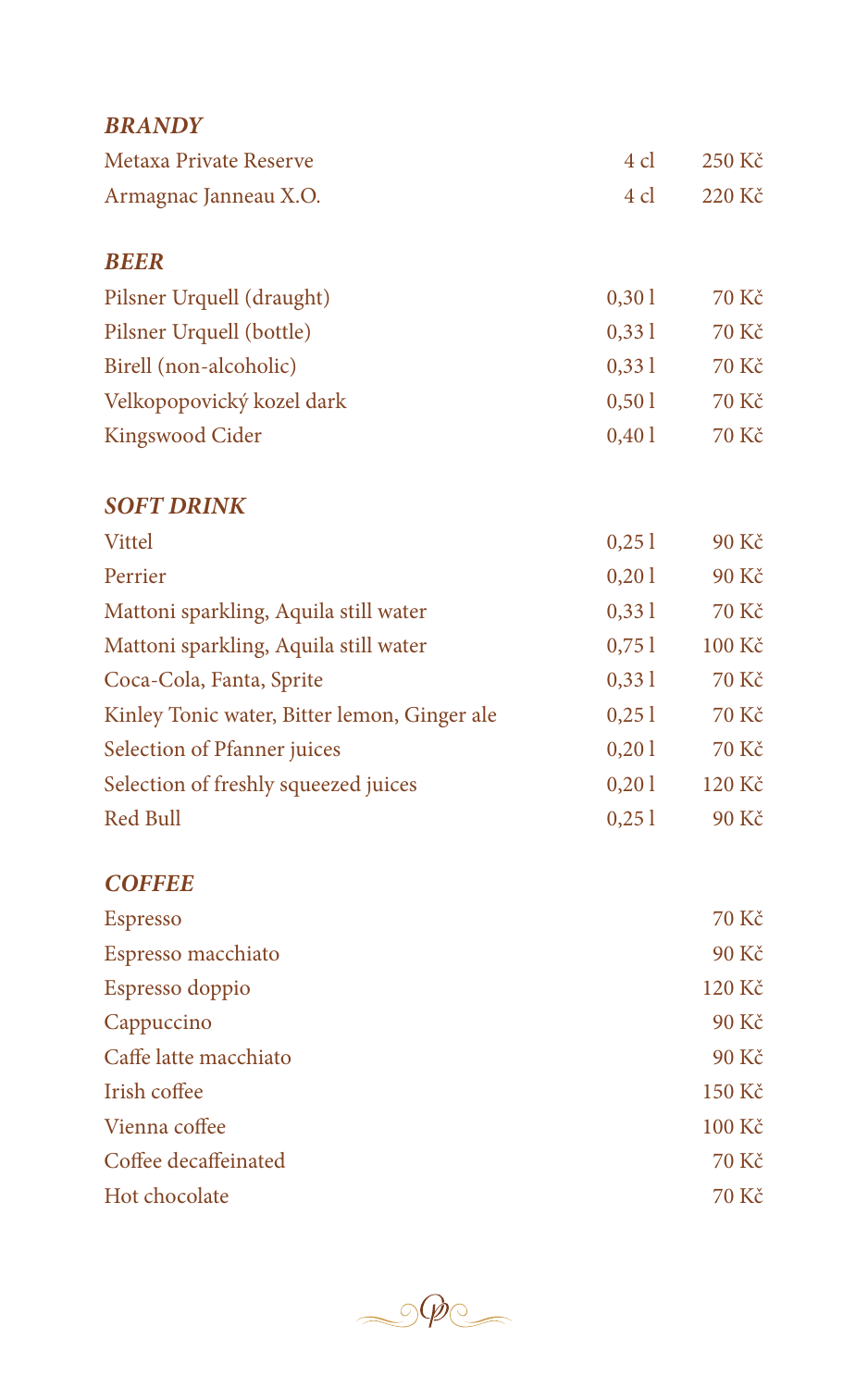| <b>BRANDY</b>                                |       |        |
|----------------------------------------------|-------|--------|
| <b>Metaxa Private Reserve</b>                | 4 cl  | 250 Kč |
| Armagnac Janneau X.O.                        | 4 cl  | 220 Kč |
| <b>BEER</b>                                  |       |        |
| Pilsner Urquell (draught)                    | 0,301 | 70 Kč  |
| Pilsner Urquell (bottle)                     | 0,331 | 70 Kč  |
| Birell (non-alcoholic)                       | 0,331 | 70 Kč  |
| Velkopopovický kozel dark                    | 0,501 | 70 Kč  |
| Kingswood Cider                              | 0,401 | 70 Kč  |
| <b>SOFT DRINK</b>                            |       |        |
| Vittel                                       | 0,251 | 90 Kč  |
| Perrier                                      | 0,201 | 90 Kč  |
| Mattoni sparkling, Aquila still water        | 0,331 | 70 Kč  |
| Mattoni sparkling, Aquila still water        | 0,751 | 100 Kč |
| Coca-Cola, Fanta, Sprite                     | 0,331 | 70 Kč  |
| Kinley Tonic water, Bitter lemon, Ginger ale | 0,251 | 70 Kč  |
| Selection of Pfanner juices                  | 0,201 | 70 Kč  |
| Selection of freshly squeezed juices         | 0,201 | 120 Kč |
| Red Bull                                     | 0,251 | 90 Kč  |
| <b>COFFEE</b>                                |       |        |
| Espresso                                     |       | 70 Kč  |
| Espresso macchiato                           |       | 90 Kč  |
| Espresso doppio                              |       | 120 Kč |
| Cappuccino                                   |       | 90 Kč  |
| Caffe latte macchiato                        |       | 90 Kč  |
| Irish coffee                                 |       | 150 Kč |
| Vienna coffee                                |       | 100 Kč |
| Coffee decaffeinated                         |       | 70 Kč  |
| Hot chocolate                                |       | 70 Kč  |

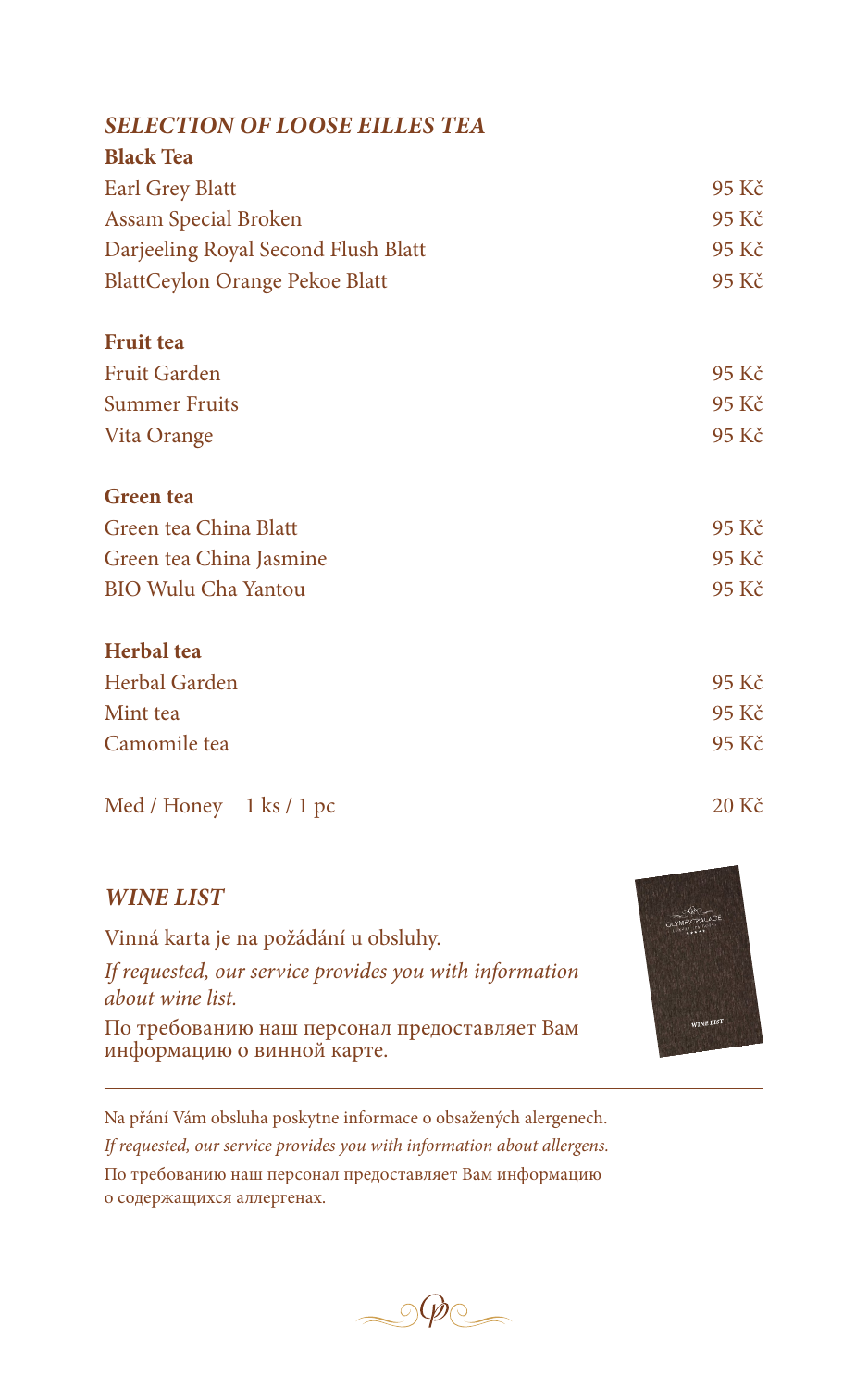#### *SELECTION OF LOOSE EILLES TEA*

| 95 Kč |
|-------|
| 95 Kč |
| 95 Kč |
| 95 Kč |
|       |

| <b>Fruit tea</b>     |       |
|----------------------|-------|
| Fruit Garden         | 95 Kč |
| <b>Summer Fruits</b> | 95 Kč |
| Vita Orange          | 95 Kč |

# **Green tea**

| Green tea China Blatt      | 95 Kč |
|----------------------------|-------|
| Green tea China Jasmine    | 95 Kč |
| <b>BIO Wulu Cha Yantou</b> | 95 Kč |

#### **Herbal tea**

| Herbal Garden | 95 Kč |
|---------------|-------|
| Mint tea      | 95 Kč |
| Camomile tea  | 95 Kč |

#### Med / Honey 1 ks / 1 pc 20 Kč

#### *WINE LIST*

Vinná karta je na požádání u obsluhy. *If requested, our service provides you with information about wine list.* По требованию наш персонал предоставляет Вам

информацию о винной карте.

Na přání Vám obsluha poskytne informace o obsažených alergenech. *If requested, our service provides you with information about allergens.* По требованию наш персонал предоставляет Вам информацию о содержащихся аллергенах.



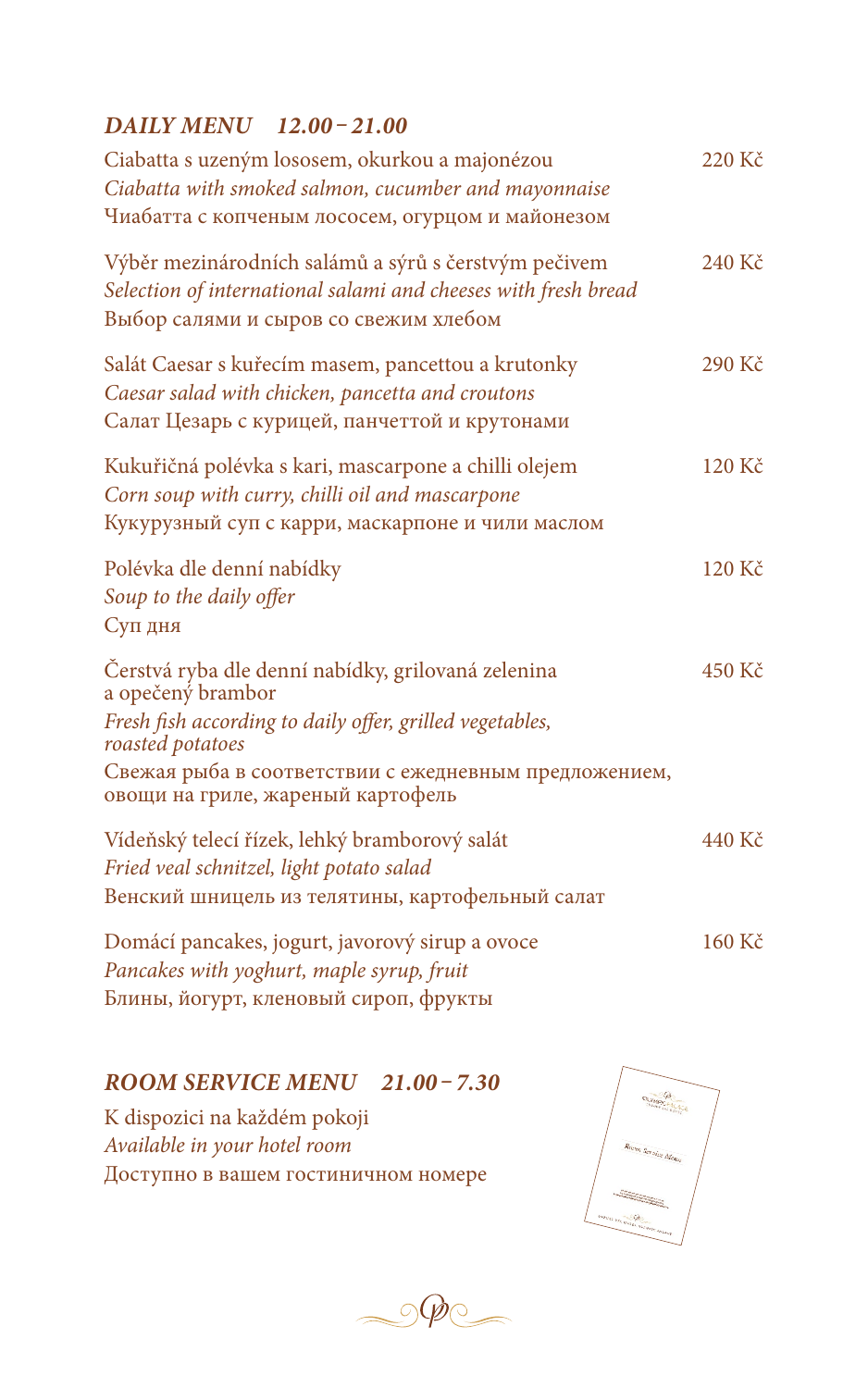#### *DAILY MENU 12.00 – 21.00*

| Ciabatta s uzeným lososem, okurkou a majonézou<br>Ciabatta with smoked salmon, cucumber and mayonnaise<br>Чиабатта с копченым лососем, огурцом и майонезом                                                                                            | 220 Kč |
|-------------------------------------------------------------------------------------------------------------------------------------------------------------------------------------------------------------------------------------------------------|--------|
| Výběr mezinárodních salámů a sýrů s čerstvým pečivem<br>Selection of international salami and cheeses with fresh bread<br>Выбор салями и сыров со свежим хлебом                                                                                       | 240 Kč |
| Salát Caesar s kuřecím masem, pancettou a krutonky<br>Caesar salad with chicken, pancetta and croutons<br>Салат Цезарь с курицей, панчеттой и крутонами                                                                                               | 290 Kč |
| Kukuřičná polévka s kari, mascarpone a chilli olejem<br>Corn soup with curry, chilli oil and mascarpone<br>Кукурузный суп с карри, маскарпоне и чили маслом                                                                                           | 120 Kč |
| Polévka dle denní nabídky<br>Soup to the daily offer<br>Суп дня                                                                                                                                                                                       | 120 Kč |
| Čerstvá ryba dle denní nabídky, grilovaná zelenina<br>a opečený brambor<br>Fresh fish according to daily offer, grilled vegetables,<br>roasted potatoes<br>Свежая рыба в соответствии с ежедневным предложением,<br>овощи на гриле, жареный картофель | 450 Kč |
| Vídeňský telecí řízek, lehký bramborový salát<br>Fried veal schnitzel, light potato salad<br>Венский шницель из телятины, картофельный салат                                                                                                          | 440 Kč |
| Domácí pancakes, jogurt, javorový sirup a ovoce<br>Pancakes with yoghurt, maple syrup, fruit<br>Блины, йогурт, кленовый сироп, фрукты                                                                                                                 | 160 Kč |

#### *ROOM SERVICE MENU 21.00 – 7.30*

K dispozici na každém pokoji *Available in your hotel room* Доступно в вашем гостиничном номере